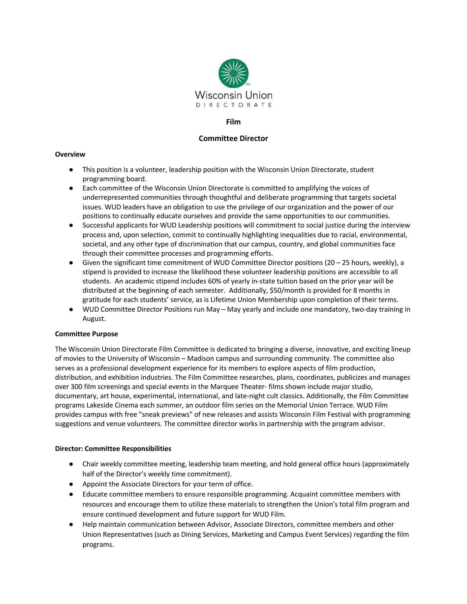

#### **Film**

# **Committee Director**

#### **Overview**

- This position is a volunteer, leadership position with the Wisconsin Union Directorate, student programming board.
- Each committee of the Wisconsin Union Directorate is committed to amplifying the voices of underrepresented communities through thoughtful and deliberate programming that targets societal issues. WUD leaders have an obligation to use the privilege of our organization and the power of our positions to continually educate ourselves and provide the same opportunities to our communities.
- Successful applicants for WUD Leadership positions will commitment to social justice during the interview process and, upon selection, commit to continually highlighting inequalities due to racial, environmental, societal, and any other type of discrimination that our campus, country, and global communities face through their committee processes and programming efforts.
- $\bullet$  Given the significant time commitment of WUD Committee Director positions (20 25 hours, weekly), a stipend is provided to increase the likelihood these volunteer leadership positions are accessible to all students. An academic stipend includes 60% of yearly in-state tuition based on the prior year will be distributed at the beginning of each semester. Additionally, \$50/month is provided for 8 months in gratitude for each students' service, as is Lifetime Union Membership upon completion of their terms.
- WUD Committee Director Positions run May May yearly and include one mandatory, two-day training in August.

## **Committee Purpose**

The Wisconsin Union Directorate Film Committee is dedicated to bringing a diverse, innovative, and exciting lineup of movies to the University of Wisconsin – Madison campus and surrounding community. The committee also serves as a professional development experience for its members to explore aspects of film production, distribution, and exhibition industries. The Film Committee researches, plans, coordinates, publicizes and manages over 300 film screenings and special events in the Marquee Theater- films shown include major studio, documentary, art house, experimental, international, and late-night cult classics. Additionally, the Film Committee programs Lakeside Cinema each summer, an outdoor film series on the Memorial Union Terrace. WUD Film provides campus with free "sneak previews" of new releases and assists Wisconsin Film Festival with programming suggestions and venue volunteers. The committee director works in partnership with the program advisor.

#### **Director: Committee Responsibilities**

- Chair weekly committee meeting, leadership team meeting, and hold general office hours (approximately half of the Director's weekly time commitment).
- Appoint the Associate Directors for your term of office.
- Educate committee members to ensure responsible programming. Acquaint committee members with resources and encourage them to utilize these materials to strengthen the Union's total film program and ensure continued development and future support for WUD Film.
- Help maintain communication between Advisor, Associate Directors, committee members and other Union Representatives (such as Dining Services, Marketing and Campus Event Services) regarding the film programs.